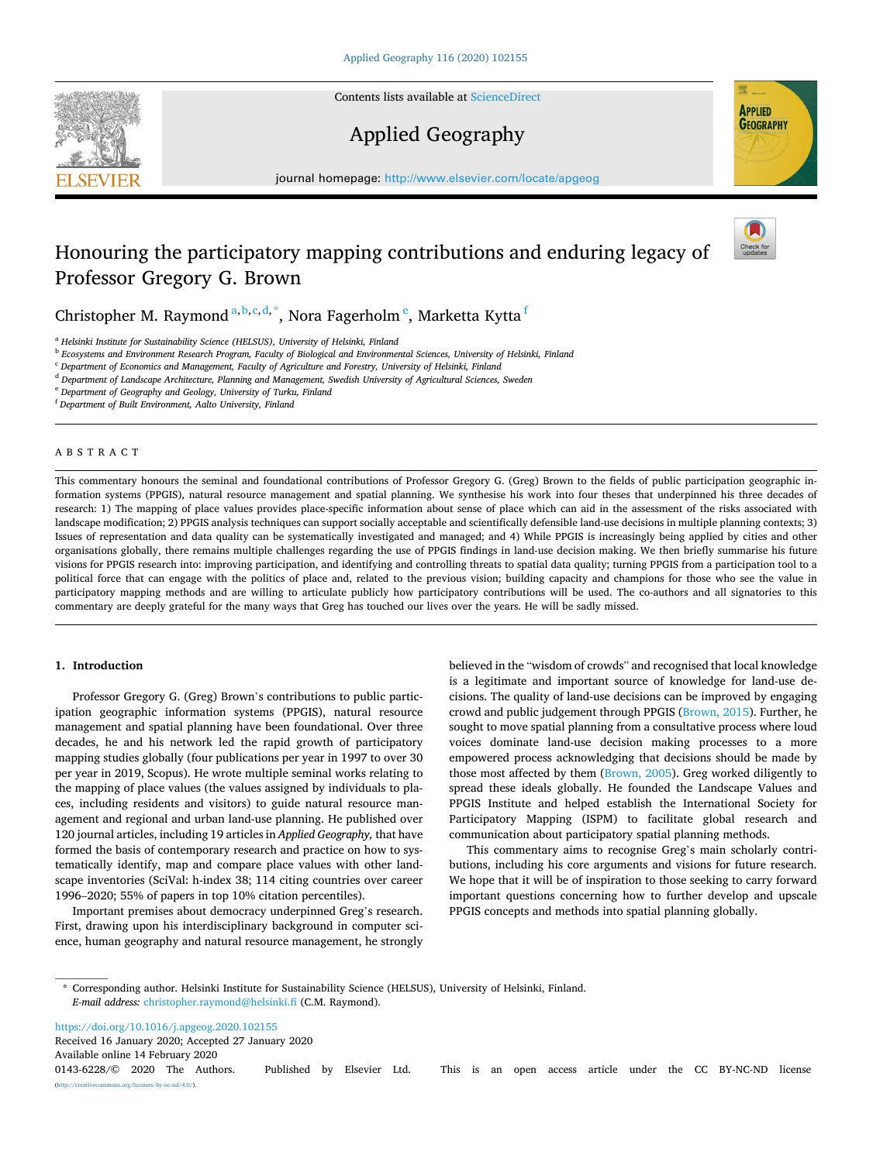Contents lists available at [ScienceDirect](www.sciencedirect.com/science/journal/01436228)

# Applied Geography

journal homepage: [http://www.elsevier.com/locate/apgeog](https://http://www.elsevier.com/locate/apgeog)

# Honouring the participatory mapping contributions and enduring legacy of Professor Gregory G. Brown

Christopher M. Raymond <sup>a, b, c, d, \*</sup>, Nora Fagerholm <sup>e</sup>, Marketta Kyttä <sup>f</sup>

<sup>a</sup> *Helsinki Institute for Sustainability Science (HELSUS), University of Helsinki, Finland* 

<sup>b</sup> *Ecosystems and Environment Research Program, Faculty of Biological and Environmental Sciences, University of Helsinki, Finland* 

<sup>c</sup> *Department of Economics and Management, Faculty of Agriculture and Forestry, University of Helsinki, Finland* 

<sup>d</sup> *Department of Landscape Architecture, Planning and Management, Swedish University of Agricultural Sciences, Sweden* 

<sup>e</sup> *Department of Geography and Geology, University of Turku, Finland* 

<sup>f</sup> *Department of Built Environment, Aalto University, Finland* 

### ABSTRACT

This commentary honours the seminal and foundational contributions of Professor Gregory G. (Greg) Brown to the fields of public participation geographic information systems (PPGIS), natural resource management and spatial planning. We synthesise his work into four theses that underpinned his three decades of research: 1) The mapping of place values provides place-specific information about sense of place which can aid in the assessment of the risks associated with landscape modification; 2) PPGIS analysis techniques can support socially acceptable and scientifically defensible land-use decisions in multiple planning contexts; 3) Issues of representation and data quality can be systematically investigated and managed; and 4) While PPGIS is increasingly being applied by cities and other organisations globally, there remains multiple challenges regarding the use of PPGIS findings in land-use decision making. We then briefly summarise his future visions for PPGIS research into: improving participation, and identifying and controlling threats to spatial data quality; turning PPGIS from a participation tool to a political force that can engage with the politics of place and, related to the previous vision; building capacity and champions for those who see the value in participatory mapping methods and are willing to articulate publicly how participatory contributions will be used. The co-authors and all signatories to this commentary are deeply grateful for the many ways that Greg has touched our lives over the years. He will be sadly missed.

### **1. Introduction**

Professor Gregory G. (Greg) Brown's contributions to public participation geographic information systems (PPGIS), natural resource management and spatial planning have been foundational. Over three decades, he and his network led the rapid growth of participatory mapping studies globally (four publications per year in 1997 to over 30 per year in 2019, Scopus). He wrote multiple seminal works relating to the mapping of place values (the values assigned by individuals to places, including residents and visitors) to guide natural resource management and regional and urban land-use planning. He published over 120 journal articles, including 19 articles in *Applied Geography,* that have formed the basis of contemporary research and practice on how to systematically identify, map and compare place values with other landscape inventories (SciVal: h-index 38; 114 citing countries over career 1996–2020; 55% of papers in top 10% citation percentiles).

Important premises about democracy underpinned Greg's research. First, drawing upon his interdisciplinary background in computer science, human geography and natural resource management, he strongly

believed in the "wisdom of crowds" and recognised that local knowledge is a legitimate and important source of knowledge for land-use decisions. The quality of land-use decisions can be improved by engaging crowd and public judgement through PPGIS ([Brown, 2015](#page-2-0)). Further, he sought to move spatial planning from a consultative process where loud voices dominate land-use decision making processes to a more empowered process acknowledging that decisions should be made by those most affected by them ([Brown, 2005](#page-2-0)). Greg worked diligently to spread these ideals globally. He founded the Landscape Values and PPGIS Institute and helped establish the International Society for Participatory Mapping (ISPM) to facilitate global research and communication about participatory spatial planning methods.

This commentary aims to recognise Greg's main scholarly contributions, including his core arguments and visions for future research. We hope that it will be of inspiration to those seeking to carry forward important questions concerning how to further develop and upscale PPGIS concepts and methods into spatial planning globally.

Available online 14 February 2020 <https://doi.org/10.1016/j.apgeog.2020.102155> Received 16 January 2020; Accepted 27 January 2020







<sup>\*</sup> Corresponding author. Helsinki Institute for Sustainability Science (HELSUS), University of Helsinki, Finland. *E-mail address:* [christopher.raymond@helsinki.fi](mailto:christopher.raymond@helsinki.fi) (C.M. Raymond).

<sup>0143-6228/© 2020</sup> The Authors. Published by Elsevier Ltd. This is an open access article under the CC BY-NC-ND license [\(http://creativecommons.org/licenses/by-nc-nd/4.0/\)](http://creativecommons.org/licenses/by-nc-nd/4.0/).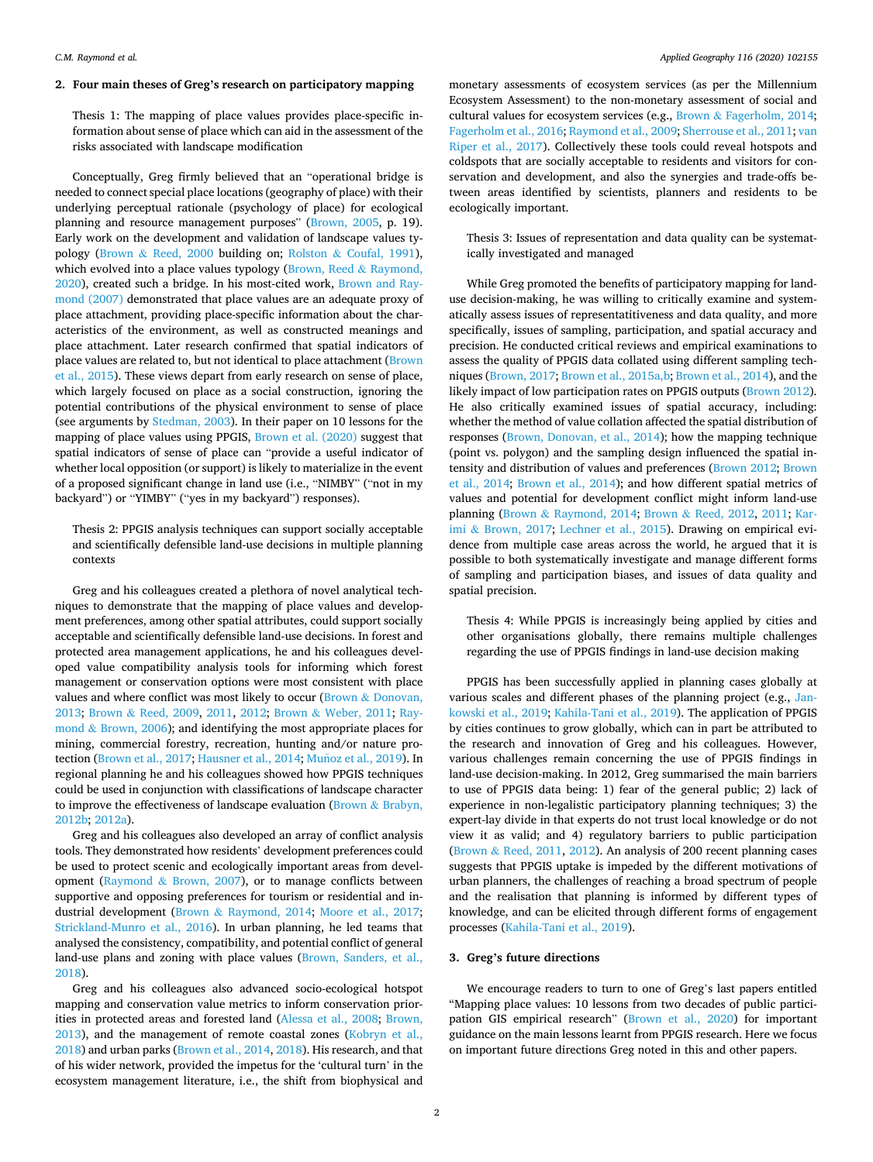# **2. Four main theses of Greg's research on participatory mapping**

Thesis 1: The mapping of place values provides place-specific information about sense of place which can aid in the assessment of the risks associated with landscape modification

Conceptually, Greg firmly believed that an "operational bridge is needed to connect special place locations (geography of place) with their underlying perceptual rationale (psychology of place) for ecological planning and resource management purposes" ([Brown, 2005,](#page-2-0) p. 19). Early work on the development and validation of landscape values typology (Brown & [Reed, 2000](#page-3-0) building on; Rolston & [Coufal, 1991](#page-3-0)), which evolved into a place values typology [\(Brown, Reed](#page-3-0) & Raymond, [2020\)](#page-3-0), created such a bridge. In his most-cited work, [Brown and Ray](#page-3-0)[mond \(2007\)](#page-3-0) demonstrated that place values are an adequate proxy of place attachment, providing place-specific information about the characteristics of the environment, as well as constructed meanings and place attachment. Later research confirmed that spatial indicators of place values are related to, but not identical to place attachment ([Brown](#page-3-0)  [et al., 2015\)](#page-3-0). These views depart from early research on sense of place, which largely focused on place as a social construction, ignoring the potential contributions of the physical environment to sense of place (see arguments by [Stedman, 2003](#page-3-0)). In their paper on 10 lessons for the mapping of place values using PPGIS, [Brown et al. \(2020\)](#page-3-0) suggest that spatial indicators of sense of place can "provide a useful indicator of whether local opposition (or support) is likely to materialize in the event of a proposed significant change in land use (i.e., "NIMBY" ("not in my backyard") or "YIMBY" ("yes in my backyard") responses).

Thesis 2: PPGIS analysis techniques can support socially acceptable and scientifically defensible land-use decisions in multiple planning contexts

Greg and his colleagues created a plethora of novel analytical techniques to demonstrate that the mapping of place values and development preferences, among other spatial attributes, could support socially acceptable and scientifically defensible land-use decisions. In forest and protected area management applications, he and his colleagues developed value compatibility analysis tools for informing which forest management or conservation options were most consistent with place values and where conflict was most likely to occur (Brown & [Donovan,](#page-3-0)  [2013;](#page-3-0) Brown & [Reed, 2009,](#page-3-0) [2011,](#page-3-0) [2012;](#page-3-0) Brown & [Weber, 2011;](#page-3-0) [Ray](#page-3-0)mond & [Brown, 2006](#page-3-0)); and identifying the most appropriate places for mining, commercial forestry, recreation, hunting and/or nature pro-tection ([Brown et al., 2017; Hausner et al., 2014](#page-3-0); Muñoz [et al., 2019](#page-3-0)). In regional planning he and his colleagues showed how PPGIS techniques could be used in conjunction with classifications of landscape character to improve the effectiveness of landscape evaluation (Brown  $\&$  Brabyn, [2012b;](#page-3-0) [2012a\)](#page-3-0).

Greg and his colleagues also developed an array of conflict analysis tools. They demonstrated how residents' development preferences could be used to protect scenic and ecologically important areas from development (Raymond  $& Brown, 2007$ ), or to manage conflicts between supportive and opposing preferences for tourism or residential and industrial development (Brown & [Raymond, 2014;](#page-3-0) [Moore et al., 2017](#page-3-0); [Strickland-Munro et al., 2016\)](#page-3-0). In urban planning, he led teams that analysed the consistency, compatibility, and potential conflict of general land-use plans and zoning with place values [\(Brown, Sanders, et al.,](#page-3-0)  [2018\)](#page-3-0).

Greg and his colleagues also advanced socio-ecological hotspot mapping and conservation value metrics to inform conservation priorities in protected areas and forested land ([Alessa et al., 2008](#page-2-0); [Brown,](#page-2-0)  [2013\)](#page-2-0), and the management of remote coastal zones [\(Kobryn et al.,](#page-3-0)  [2018\)](#page-3-0) and urban parks [\(Brown et al., 2014](#page-3-0), [2018](#page-3-0)). His research, and that of his wider network, provided the impetus for the 'cultural turn' in the ecosystem management literature, i.e., the shift from biophysical and

monetary assessments of ecosystem services (as per the Millennium Ecosystem Assessment) to the non-monetary assessment of social and cultural values for ecosystem services (e.g., Brown & [Fagerholm, 2014](#page-3-0); [Fagerholm et al., 2016](#page-3-0); [Raymond et al., 2009](#page-3-0); [Sherrouse et al., 2011](#page-3-0); [van](#page-3-0)  [Riper et al., 2017](#page-3-0)). Collectively these tools could reveal hotspots and coldspots that are socially acceptable to residents and visitors for conservation and development, and also the synergies and trade-offs between areas identified by scientists, planners and residents to be ecologically important.

Thesis 3: Issues of representation and data quality can be systematically investigated and managed

While Greg promoted the benefits of participatory mapping for landuse decision-making, he was willing to critically examine and systematically assess issues of representatitiveness and data quality, and more specifically, issues of sampling, participation, and spatial accuracy and precision. He conducted critical reviews and empirical examinations to assess the quality of PPGIS data collated using different sampling techniques [\(Brown, 2017](#page-3-0); [Brown et al., 2015a,b](#page-3-0); [Brown et al., 2014\)](#page-3-0), and the likely impact of low participation rates on PPGIS outputs ([Brown 2012](#page-2-0)). He also critically examined issues of spatial accuracy, including: whether the method of value collation affected the spatial distribution of responses ([Brown, Donovan, et al., 2014](#page-3-0)); how the mapping technique (point vs. polygon) and the sampling design influenced the spatial intensity and distribution of values and preferences ([Brown 2012](#page-2-0); [Brown](#page-3-0)  [et al., 2014;](#page-3-0) [Brown et al., 2014](#page-3-0)); and how different spatial metrics of values and potential for development conflict might inform land-use planning (Brown & [Raymond, 2014;](#page-3-0) Brown & [Reed, 2012,](#page-3-0) [2011;](#page-3-0) [Kar](#page-3-0)imi & [Brown, 2017;](#page-3-0) [Lechner et al., 2015\)](#page-3-0). Drawing on empirical evidence from multiple case areas across the world, he argued that it is possible to both systematically investigate and manage different forms of sampling and participation biases, and issues of data quality and spatial precision.

Thesis 4: While PPGIS is increasingly being applied by cities and other organisations globally, there remains multiple challenges regarding the use of PPGIS findings in land-use decision making

PPGIS has been successfully applied in planning cases globally at various scales and different phases of the planning project (e.g., [Jan](#page-3-0)[kowski et al., 2019; Kahila-Tani et al., 2019\)](#page-3-0). The application of PPGIS by cities continues to grow globally, which can in part be attributed to the research and innovation of Greg and his colleagues. However, various challenges remain concerning the use of PPGIS findings in land-use decision-making. In 2012, Greg summarised the main barriers to use of PPGIS data being: 1) fear of the general public; 2) lack of experience in non-legalistic participatory planning techniques; 3) the expert-lay divide in that experts do not trust local knowledge or do not view it as valid; and 4) regulatory barriers to public participation (Brown & [Reed, 2011, 2012](#page-3-0)). An analysis of 200 recent planning cases suggests that PPGIS uptake is impeded by the different motivations of urban planners, the challenges of reaching a broad spectrum of people and the realisation that planning is informed by different types of knowledge, and can be elicited through different forms of engagement processes ([Kahila-Tani et al., 2019](#page-3-0)).

#### **3. Greg's future directions**

We encourage readers to turn to one of Greg's last papers entitled "Mapping place values: 10 lessons from two decades of public participation GIS empirical research" ([Brown et al., 2020\)](#page-3-0) for important guidance on the main lessons learnt from PPGIS research. Here we focus on important future directions Greg noted in this and other papers.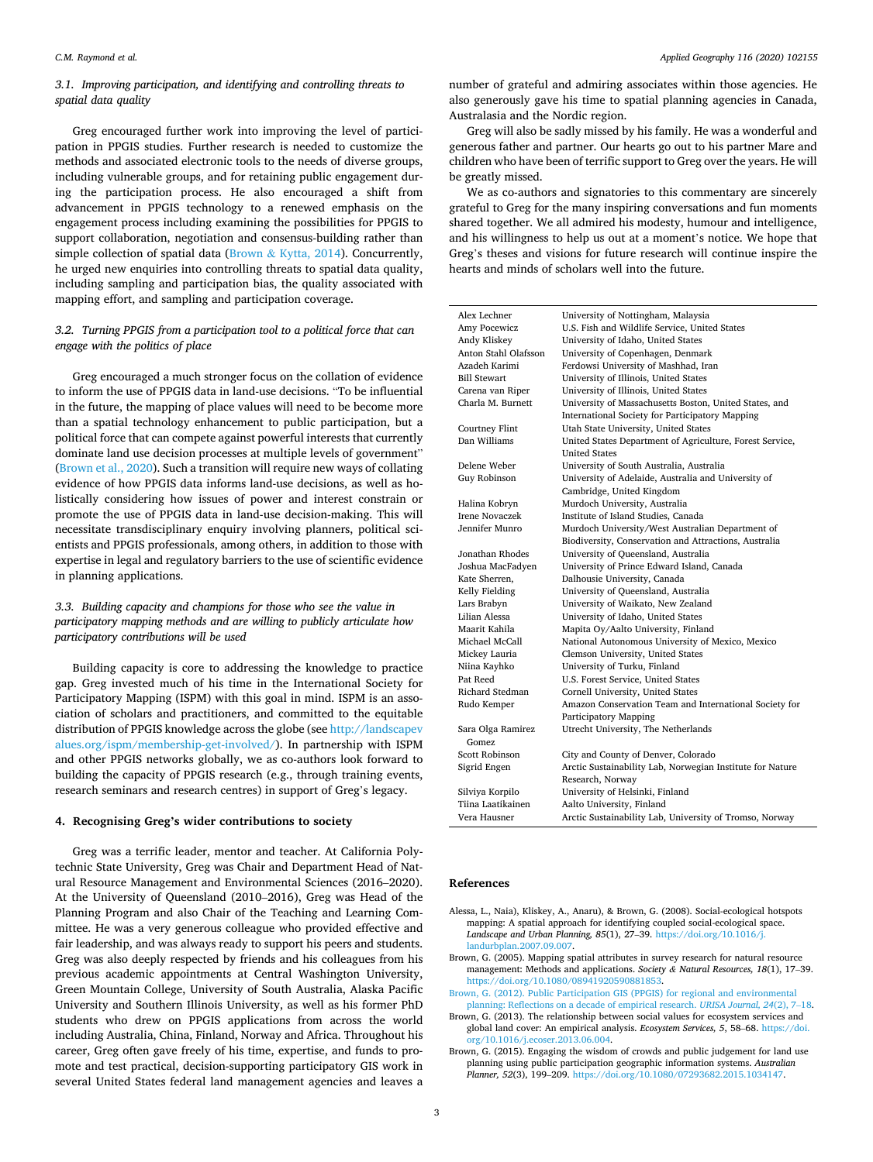# <span id="page-2-0"></span>*3.1. Improving participation, and identifying and controlling threats to spatial data quality*

Greg encouraged further work into improving the level of participation in PPGIS studies. Further research is needed to customize the methods and associated electronic tools to the needs of diverse groups, including vulnerable groups, and for retaining public engagement during the participation process. He also encouraged a shift from advancement in PPGIS technology to a renewed emphasis on the engagement process including examining the possibilities for PPGIS to support collaboration, negotiation and consensus-building rather than simple collection of spatial data (Brown & Kyttä, 2014). Concurrently, he urged new enquiries into controlling threats to spatial data quality, including sampling and participation bias, the quality associated with mapping effort, and sampling and participation coverage.

## *3.2. Turning PPGIS from a participation tool to a political force that can engage with the politics of place*

Greg encouraged a much stronger focus on the collation of evidence to inform the use of PPGIS data in land-use decisions. "To be influential in the future, the mapping of place values will need to be become more than a spatial technology enhancement to public participation, but a political force that can compete against powerful interests that currently dominate land use decision processes at multiple levels of government" ([Brown et al., 2020](#page-3-0)). Such a transition will require new ways of collating evidence of how PPGIS data informs land-use decisions, as well as holistically considering how issues of power and interest constrain or promote the use of PPGIS data in land-use decision-making. This will necessitate transdisciplinary enquiry involving planners, political scientists and PPGIS professionals, among others, in addition to those with expertise in legal and regulatory barriers to the use of scientific evidence in planning applications.

# *3.3. Building capacity and champions for those who see the value in participatory mapping methods and are willing to publicly articulate how participatory contributions will be used*

Building capacity is core to addressing the knowledge to practice gap. Greg invested much of his time in the International Society for Participatory Mapping (ISPM) with this goal in mind. ISPM is an association of scholars and practitioners, and committed to the equitable distribution of PPGIS knowledge across the globe (see [http://landscapev](http://landscapevalues.org/ispm/membership-get-involved/)  [alues.org/ispm/membership-get-involved/\)](http://landscapevalues.org/ispm/membership-get-involved/). In partnership with ISPM and other PPGIS networks globally, we as co-authors look forward to building the capacity of PPGIS research (e.g., through training events, research seminars and research centres) in support of Greg's legacy.

#### **4. Recognising Greg's wider contributions to society**

Greg was a terrific leader, mentor and teacher. At California Polytechnic State University, Greg was Chair and Department Head of Natural Resource Management and Environmental Sciences (2016–2020). At the University of Queensland (2010–2016), Greg was Head of the Planning Program and also Chair of the Teaching and Learning Committee. He was a very generous colleague who provided effective and fair leadership, and was always ready to support his peers and students. Greg was also deeply respected by friends and his colleagues from his previous academic appointments at Central Washington University, Green Mountain College, University of South Australia, Alaska Pacific University and Southern Illinois University, as well as his former PhD students who drew on PPGIS applications from across the world including Australia, China, Finland, Norway and Africa. Throughout his career, Greg often gave freely of his time, expertise, and funds to promote and test practical, decision-supporting participatory GIS work in several United States federal land management agencies and leaves a

number of grateful and admiring associates within those agencies. He also generously gave his time to spatial planning agencies in Canada, Australasia and the Nordic region.

Greg will also be sadly missed by his family. He was a wonderful and generous father and partner. Our hearts go out to his partner Mare and children who have been of terrific support to Greg over the years. He will be greatly missed.

We as co-authors and signatories to this commentary are sincerely grateful to Greg for the many inspiring conversations and fun moments shared together. We all admired his modesty, humour and intelligence, and his willingness to help us out at a moment's notice. We hope that Greg's theses and visions for future research will continue inspire the hearts and minds of scholars well into the future.

| Alex Lechner               | University of Nottingham, Malaysia                        |
|----------------------------|-----------------------------------------------------------|
| Amy Pocewicz               | U.S. Fish and Wildlife Service, United States             |
| Andy Kliskey               | University of Idaho, United States                        |
| Anton Stahl Olafsson       | University of Copenhagen, Denmark                         |
| Azadeh Karimi              | Ferdowsi University of Mashhad, Iran                      |
| <b>Bill Stewart</b>        | University of Illinois, United States                     |
| Carena van Riper           | University of Illinois, United States                     |
| Charla M. Burnett          | University of Massachusetts Boston, United States, and    |
|                            | International Society for Participatory Mapping           |
| Courtney Flint             | Utah State University, United States                      |
| Dan Williams               | United States Department of Agriculture, Forest Service,  |
|                            | <b>United States</b>                                      |
| Delene Weber               | University of South Australia, Australia                  |
| Guy Robinson               | University of Adelaide, Australia and University of       |
|                            | Cambridge, United Kingdom                                 |
| Halina Kobryn              | Murdoch University, Australia                             |
| <b>Irene Novaczek</b>      | Institute of Island Studies, Canada                       |
| Jennifer Munro             | Murdoch University/West Australian Department of          |
|                            | Biodiversity, Conservation and Attractions, Australia     |
| Jonathan Rhodes            | University of Queensland, Australia                       |
| Joshua MacFadyen           | University of Prince Edward Island, Canada                |
| Kate Sherren.              | Dalhousie University, Canada                              |
| Kelly Fielding             | University of Queensland, Australia                       |
| Lars Brabyn                | University of Waikato, New Zealand                        |
| Lilian Alessa              | University of Idaho, United States                        |
| Maarit Kahila              | Mapita Oy/Aalto University, Finland                       |
| Michael McCall             | National Autonomous University of Mexico, Mexico          |
| Mickey Lauria              | Clemson University, United States                         |
| Niina Käyhkö               | University of Turku, Finland                              |
| Pat Reed                   | U.S. Forest Service, United States                        |
| Richard Stedman            | Cornell University, United States                         |
| Rudo Kemper                | Amazon Conservation Team and International Society for    |
|                            | Participatory Mapping                                     |
| Sara Olga Ramirez<br>Gomez | Utrecht University, The Netherlands                       |
| Scott Robinson             | City and County of Denver, Colorado                       |
| Sigrid Engen               | Arctic Sustainability Lab, Norwegian Institute for Nature |
|                            | Research, Norway                                          |
| Silviya Korpilo            | University of Helsinki, Finland                           |
| Tiina Laatikainen          | Aalto University, Finland                                 |
| Vera Hausner               | Arctic Sustainability Lab, University of Tromso, Norway   |

#### **References**

- Alessa, L., Naia), Kliskey, A., Anaru), & Brown, G. (2008). Social-ecological hotspots mapping: A spatial approach for identifying coupled social-ecological space. *Landscape and Urban Planning, 85*(1), 27–39. [https://doi.org/10.1016/j.](https://doi.org/10.1016/j.landurbplan.2007.09.007)  [landurbplan.2007.09.007.](https://doi.org/10.1016/j.landurbplan.2007.09.007)
- Brown, G. (2005). Mapping spatial attributes in survey research for natural resource management: Methods and applications. *Society & Natural Resources, 18*(1), 17–39. <https://doi.org/10.1080/08941920590881853>.
- [Brown, G. \(2012\). Public Participation GIS \(PPGIS\) for regional and environmental](http://refhub.elsevier.com/S0143-6228(20)30059-X/sref3)  [planning: Reflections on a decade of empirical research.](http://refhub.elsevier.com/S0143-6228(20)30059-X/sref3) *URISA Journal, 24*(2), 7–18.
- Brown, G. (2013). The relationship between social values for ecosystem services and global land cover: An empirical analysis. *Ecosystem Services, 5*, 58–68. [https://doi.](https://doi.org/10.1016/j.ecoser.2013.06.004)  [org/10.1016/j.ecoser.2013.06.004](https://doi.org/10.1016/j.ecoser.2013.06.004).
- Brown, G. (2015). Engaging the wisdom of crowds and public judgement for land use planning using public participation geographic information systems. *Australian Planner, 52*(3), 199–209. [https://doi.org/10.1080/07293682.2015.1034147.](https://doi.org/10.1080/07293682.2015.1034147)